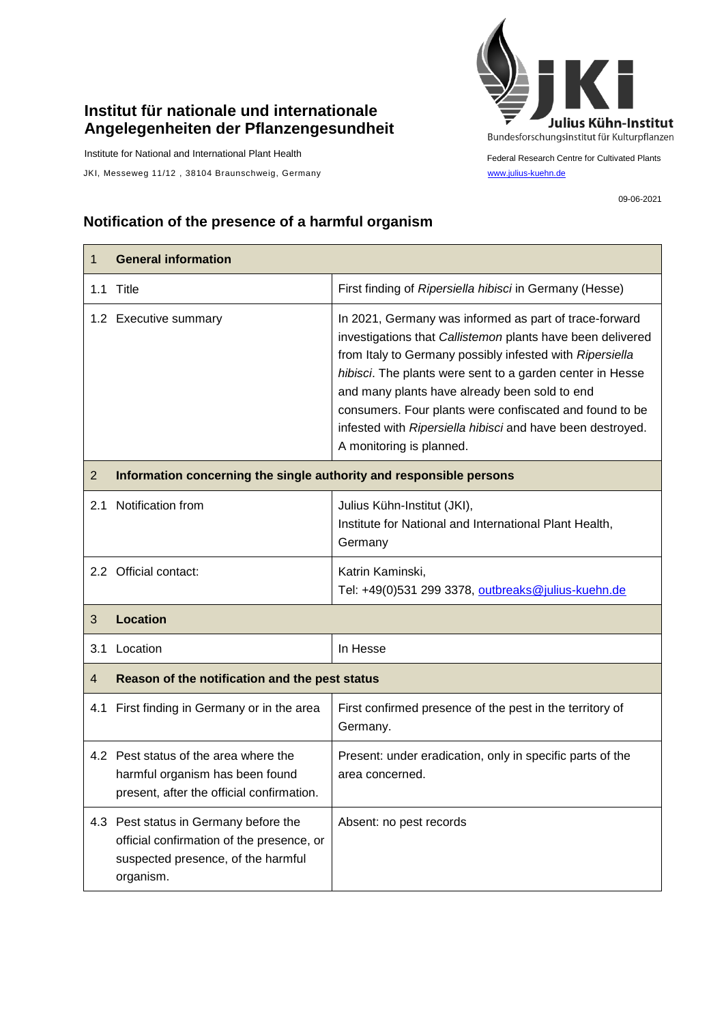## **Institut für nationale und internationale Angelegenheiten der Pflanzengesundheit**

Institute for National and International Plant Health

JKI, Messeweg 11/12, 38104 Braunschweig, Germany [www.julius-kuehn.de](http://www.julius-kuehn.de/)



Federal Research Centre for Cultivated Plants

09-06-2021

## **Notification of the presence of a harmful organism**

| $\mathbf 1$    | <b>General information</b>                                                                                                            |                                                                                                                                                                                                                                                                                                                                                                                                                                                     |  |
|----------------|---------------------------------------------------------------------------------------------------------------------------------------|-----------------------------------------------------------------------------------------------------------------------------------------------------------------------------------------------------------------------------------------------------------------------------------------------------------------------------------------------------------------------------------------------------------------------------------------------------|--|
|                | 1.1 Title                                                                                                                             | First finding of Ripersiella hibisci in Germany (Hesse)                                                                                                                                                                                                                                                                                                                                                                                             |  |
|                | 1.2 Executive summary                                                                                                                 | In 2021, Germany was informed as part of trace-forward<br>investigations that Callistemon plants have been delivered<br>from Italy to Germany possibly infested with Ripersiella<br>hibisci. The plants were sent to a garden center in Hesse<br>and many plants have already been sold to end<br>consumers. Four plants were confiscated and found to be<br>infested with Ripersiella hibisci and have been destroyed.<br>A monitoring is planned. |  |
| $\overline{2}$ | Information concerning the single authority and responsible persons                                                                   |                                                                                                                                                                                                                                                                                                                                                                                                                                                     |  |
| 2.1            | Notification from                                                                                                                     | Julius Kühn-Institut (JKI),<br>Institute for National and International Plant Health,<br>Germany                                                                                                                                                                                                                                                                                                                                                    |  |
|                | 2.2 Official contact:                                                                                                                 | Katrin Kaminski,<br>Tel: +49(0)531 299 3378, outbreaks@julius-kuehn.de                                                                                                                                                                                                                                                                                                                                                                              |  |
| 3              | <b>Location</b>                                                                                                                       |                                                                                                                                                                                                                                                                                                                                                                                                                                                     |  |
|                | 3.1 Location                                                                                                                          | In Hesse                                                                                                                                                                                                                                                                                                                                                                                                                                            |  |
| $\overline{4}$ | Reason of the notification and the pest status                                                                                        |                                                                                                                                                                                                                                                                                                                                                                                                                                                     |  |
|                | 4.1 First finding in Germany or in the area                                                                                           | First confirmed presence of the pest in the territory of<br>Germany.                                                                                                                                                                                                                                                                                                                                                                                |  |
|                | 4.2 Pest status of the area where the<br>harmful organism has been found<br>present, after the official confirmation.                 | Present: under eradication, only in specific parts of the<br>area concerned.                                                                                                                                                                                                                                                                                                                                                                        |  |
|                | 4.3 Pest status in Germany before the<br>official confirmation of the presence, or<br>suspected presence, of the harmful<br>organism. | Absent: no pest records                                                                                                                                                                                                                                                                                                                                                                                                                             |  |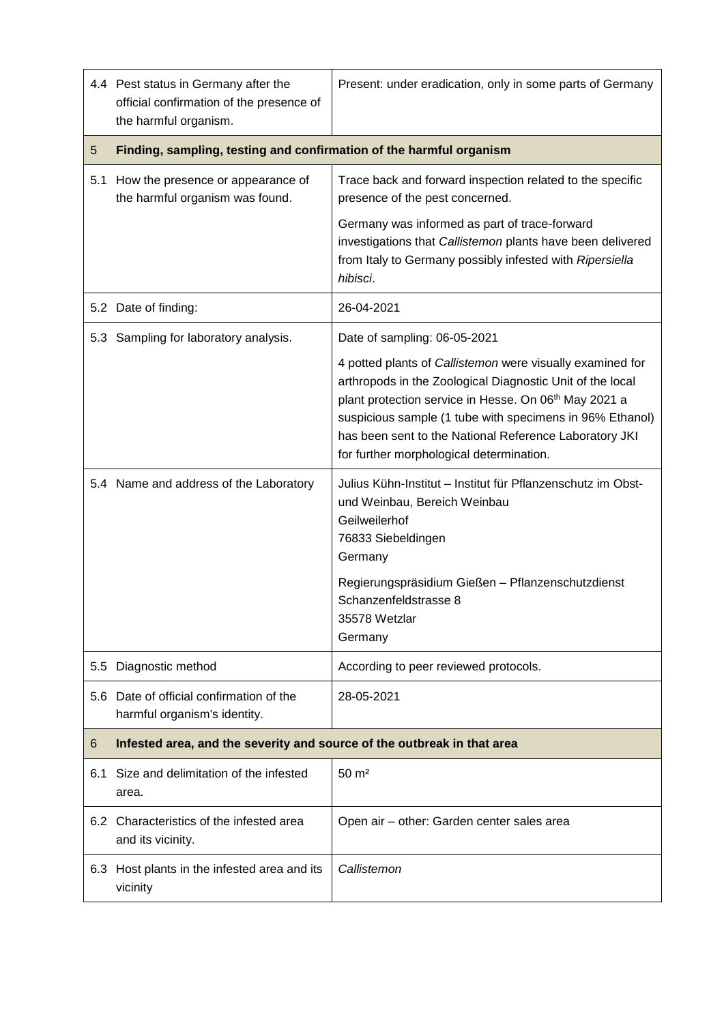|               | 4.4 Pest status in Germany after the<br>official confirmation of the presence of<br>the harmful organism. | Present: under eradication, only in some parts of Germany                                                                                                                                                                                                                                                                                         |  |
|---------------|-----------------------------------------------------------------------------------------------------------|---------------------------------------------------------------------------------------------------------------------------------------------------------------------------------------------------------------------------------------------------------------------------------------------------------------------------------------------------|--|
| 5             | Finding, sampling, testing and confirmation of the harmful organism                                       |                                                                                                                                                                                                                                                                                                                                                   |  |
| 5.1           | How the presence or appearance of<br>the harmful organism was found.                                      | Trace back and forward inspection related to the specific<br>presence of the pest concerned.                                                                                                                                                                                                                                                      |  |
|               |                                                                                                           | Germany was informed as part of trace-forward<br>investigations that Callistemon plants have been delivered<br>from Italy to Germany possibly infested with Ripersiella<br>hibisci.                                                                                                                                                               |  |
|               | 5.2 Date of finding:                                                                                      | 26-04-2021                                                                                                                                                                                                                                                                                                                                        |  |
|               | 5.3 Sampling for laboratory analysis.                                                                     | Date of sampling: 06-05-2021                                                                                                                                                                                                                                                                                                                      |  |
|               |                                                                                                           | 4 potted plants of Callistemon were visually examined for<br>arthropods in the Zoological Diagnostic Unit of the local<br>plant protection service in Hesse. On 06th May 2021 a<br>suspicious sample (1 tube with specimens in 96% Ethanol)<br>has been sent to the National Reference Laboratory JKI<br>for further morphological determination. |  |
|               | 5.4 Name and address of the Laboratory                                                                    | Julius Kühn-Institut - Institut für Pflanzenschutz im Obst-<br>und Weinbau, Bereich Weinbau<br>Geilweilerhof<br>76833 Siebeldingen<br>Germany<br>Regierungspräsidium Gießen - Pflanzenschutzdienst<br>Schanzenfeldstrasse 8<br>35578 Wetzlar<br>Germany                                                                                           |  |
| $5.5^{\circ}$ | Diagnostic method                                                                                         | According to peer reviewed protocols.                                                                                                                                                                                                                                                                                                             |  |
|               | 5.6 Date of official confirmation of the<br>harmful organism's identity.                                  | 28-05-2021                                                                                                                                                                                                                                                                                                                                        |  |
| 6             | Infested area, and the severity and source of the outbreak in that area                                   |                                                                                                                                                                                                                                                                                                                                                   |  |
| 6.1           | Size and delimitation of the infested<br>area.                                                            | $50 \text{ m}^2$                                                                                                                                                                                                                                                                                                                                  |  |
|               | 6.2 Characteristics of the infested area<br>and its vicinity.                                             | Open air - other: Garden center sales area                                                                                                                                                                                                                                                                                                        |  |
|               | 6.3 Host plants in the infested area and its<br>vicinity                                                  | Callistemon                                                                                                                                                                                                                                                                                                                                       |  |